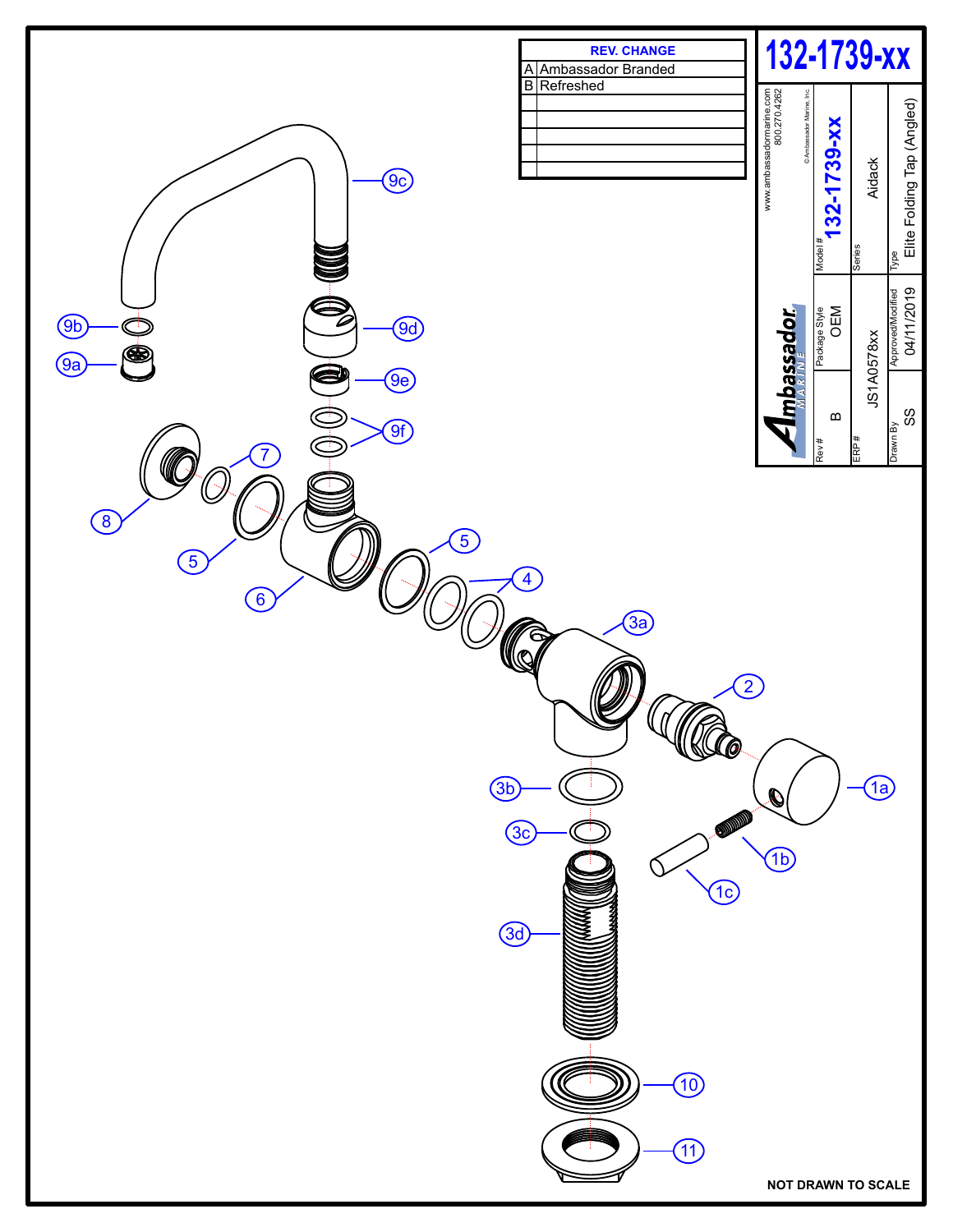